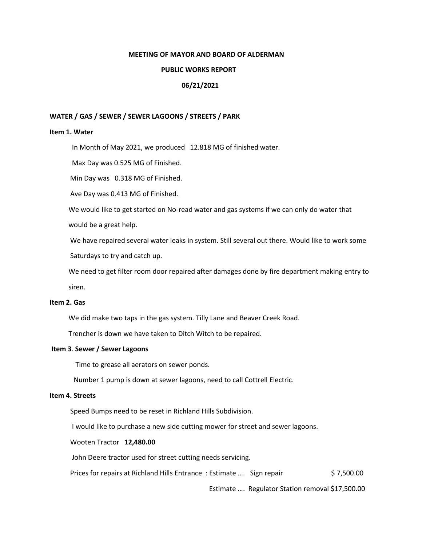## **MEETING OF MAYOR AND BOARD OF ALDERMAN**

## **PUBLIC WORKS REPORT**

# **06/21/2021**

## **WATER / GAS / SEWER / SEWER LAGOONS / STREETS / PARK**

## **Item 1. Water**

In Month of May 2021, we produced 12.818 MG of finished water.

Max Day was 0.525 MG of Finished.

Min Day was 0.318 MG of Finished.

Ave Day was 0.413 MG of Finished.

We would like to get started on No-read water and gas systems if we can only do water that

would be a great help.

 We have repaired several water leaks in system. Still several out there. Would like to work some Saturdays to try and catch up.

 We need to get filter room door repaired after damages done by fire department making entry to siren.

# **Item 2. Gas**

We did make two taps in the gas system. Tilly Lane and Beaver Creek Road.

Trencher is down we have taken to Ditch Witch to be repaired.

## **Item 3**. **Sewer / Sewer Lagoons**

Time to grease all aerators on sewer ponds.

Number 1 pump is down at sewer lagoons, need to call Cottrell Electric.

# **Item 4. Streets**

Speed Bumps need to be reset in Richland Hills Subdivision.

I would like to purchase a new side cutting mower for street and sewer lagoons.

Wooten Tractor **12,480.00**

John Deere tractor used for street cutting needs servicing.

Prices for repairs at Richland Hills Entrance: Estimate .... Sign repair \$ 7,500.00

Estimate …. Regulator Station removal \$17,500.00